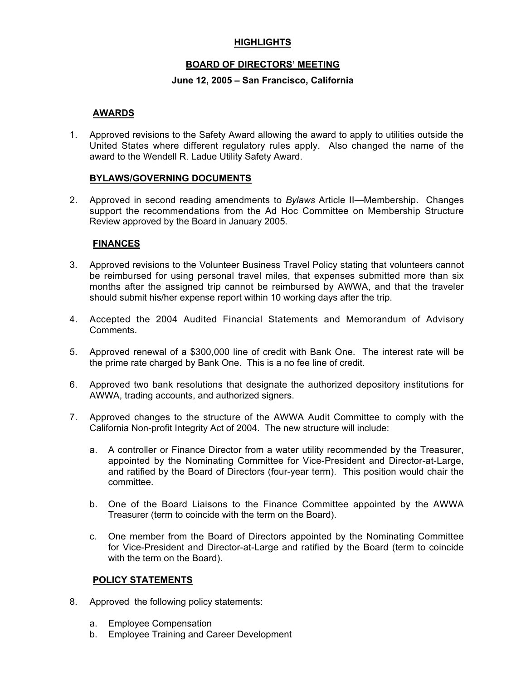## **HIGHLIGHTS**

#### **BOARD OF DIRECTORS' MEETING**

#### **June 12, 2005 – San Francisco, California**

## **AWARDS**

1. Approved revisions to the Safety Award allowing the award to apply to utilities outside the United States where different regulatory rules apply. Also changed the name of the award to the Wendell R. Ladue Utility Safety Award.

#### **BYLAWS/GOVERNING DOCUMENTS**

2. Approved in second reading amendments to *Bylaws* Article II—Membership. Changes support the recommendations from the Ad Hoc Committee on Membership Structure Review approved by the Board in January 2005.

#### **FINANCES**

- 3. Approved revisions to the Volunteer Business Travel Policy stating that volunteers cannot be reimbursed for using personal travel miles, that expenses submitted more than six months after the assigned trip cannot be reimbursed by AWWA, and that the traveler should submit his/her expense report within 10 working days after the trip.
- 4. Accepted the 2004 Audited Financial Statements and Memorandum of Advisory Comments.
- 5. Approved renewal of a \$300,000 line of credit with Bank One. The interest rate will be the prime rate charged by Bank One. This is a no fee line of credit.
- 6. Approved two bank resolutions that designate the authorized depository institutions for AWWA, trading accounts, and authorized signers.
- 7. Approved changes to the structure of the AWWA Audit Committee to comply with the California Non-profit Integrity Act of 2004. The new structure will include:
	- a. A controller or Finance Director from a water utility recommended by the Treasurer, appointed by the Nominating Committee for Vice-President and Director-at-Large, and ratified by the Board of Directors (four-year term). This position would chair the committee.
	- b. One of the Board Liaisons to the Finance Committee appointed by the AWWA Treasurer (term to coincide with the term on the Board).
	- c. One member from the Board of Directors appointed by the Nominating Committee for Vice-President and Director-at-Large and ratified by the Board (term to coincide with the term on the Board).

#### **POLICY STATEMENTS**

- 8. Approved the following policy statements:
	- a. Employee Compensation
	- b. Employee Training and Career Development